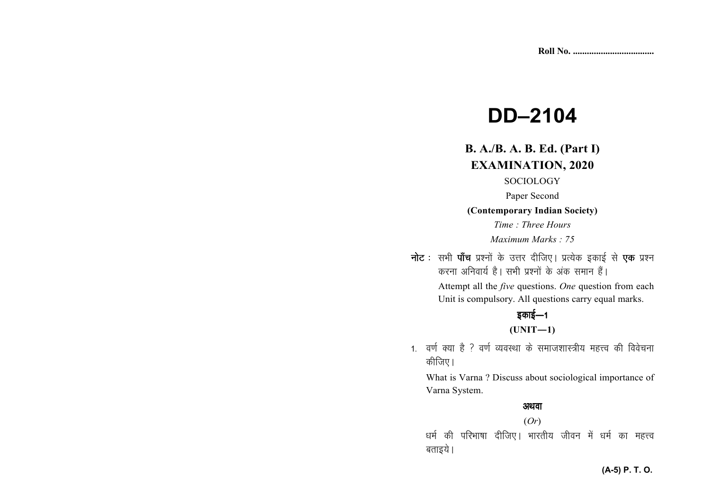# **DD–2104**

## **B. A./B. A. B. Ed. (Part I) EXAMINATION, 2020**

SOCIOLOGY

Paper Second

**(Contemporary Indian Society)** 

*Time : Three Hours Maximum Marks : 75*

**नोट** : सभी **पाँच** प्रश्नों के उत्तर दीजिए। प्रत्येक इकाई से **एक** प्रश्न *djuk vfuok;Z gSA lHkh iz'uksa d¢ vad leku gSaA* 

 Attempt all the *five* questions. *One* question from each Unit is compulsory. All questions carry equal marks.

## *bdkbZ*&*<sup>1</sup>***(UNIT—1)**

1. वर्ण क्या है ? वर्ण व्यवस्था के समाजशास्त्रीय महत्त्व की विवेचना *कीजिए* ।

What is Varna ? Discuss about sociological importance of Varna System.

## अथवा

(*Or*) */keZ dh ifjHkk"kk nhft,A Hkkjrh; thou esa /keZ dk egŸo* **बताइये** ।

#### **(A-5) P. T. O.**